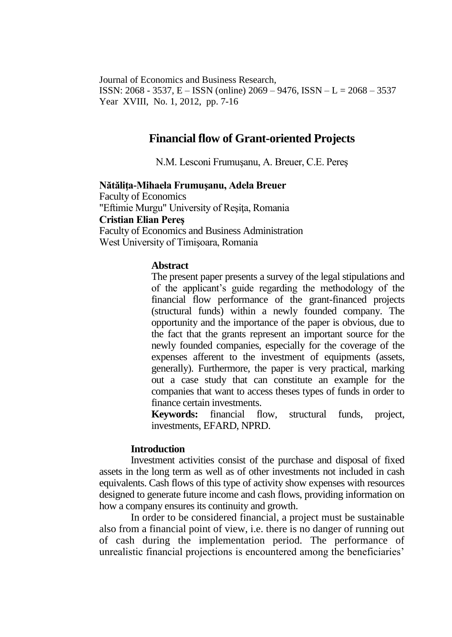Journal of Economics and Business Research, ISSN: 2068 - 3537, E – ISSN (online) 2069 – 9476, ISSN – L = 2068 – 3537 Year XVIII, No. 1, 2012, pp. 7-16

# **Financial flow of Grant-oriented Projects**

N.M. Lesconi Frumuşanu, A. Breuer, C.E. Pereş

**Nătăliţa-Mihaela Frumuşanu, Adela Breuer** Faculty of Economics "Eftimie Murgu" University of Reşiţa, Romania **Cristian Elian Pereş** Faculty of Economics and Business Administration West University of Timişoara, Romania

### **Abstract**

The present paper presents a survey of the legal stipulations and of the applicant's guide regarding the methodology of the financial flow performance of the grant-financed projects (structural funds) within a newly founded company. The opportunity and the importance of the paper is obvious, due to the fact that the grants represent an important source for the newly founded companies, especially for the coverage of the expenses afferent to the investment of equipments (assets, generally). Furthermore, the paper is very practical, marking out a case study that can constitute an example for the companies that want to access theses types of funds in order to finance certain investments.

**Keywords:** financial flow, structural funds, project, investments, EFARD, NPRD.

#### **Introduction**

Investment activities consist of the purchase and disposal of fixed assets in the long term as well as of other investments not included in cash equivalents. Cash flows of this type of activity show expenses with resources designed to generate future income and cash flows, providing information on how a company ensures its continuity and growth.

In order to be considered financial, a project must be sustainable also from a financial point of view, i.e. there is no danger of running out of cash during the implementation period. The performance of unrealistic financial projections is encountered among the beneficiaries'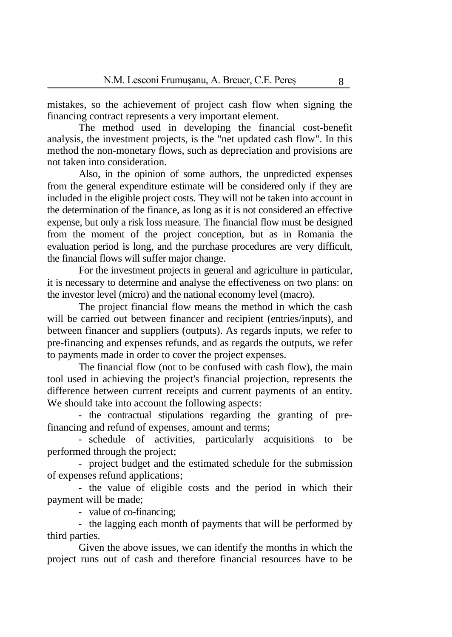mistakes, so the achievement of project cash flow when signing the financing contract represents a very important element.

The method used in developing the financial cost-benefit analysis, the investment projects, is the "net updated cash flow". In this method the non-monetary flows, such as depreciation and provisions are not taken into consideration.

Also, in the opinion of some authors, the unpredicted expenses from the general expenditure estimate will be considered only if they are included in the eligible project costs. They will not be taken into account in the determination of the finance, as long as it is not considered an effective expense, but only a risk loss measure. The financial flow must be designed from the moment of the project conception, but as in Romania the evaluation period is long, and the purchase procedures are very difficult, the financial flows will suffer major change.

For the investment projects in general and agriculture in particular, it is necessary to determine and analyse the effectiveness on two plans: on the investor level (micro) and the national economy level (macro).

The project financial flow means the method in which the cash will be carried out between financer and recipient (entries/inputs), and between financer and suppliers (outputs). As regards inputs, we refer to pre-financing and expenses refunds, and as regards the outputs, we refer to payments made in order to cover the project expenses.

The financial flow (not to be confused with cash flow), the main tool used in achieving the project's financial projection, represents the difference between current receipts and current payments of an entity. We should take into account the following aspects:

- the contractual stipulations regarding the granting of prefinancing and refund of expenses, amount and terms;

- schedule of activities, particularly acquisitions to be performed through the project;

- project budget and the estimated schedule for the submission of expenses refund applications;

- the value of eligible costs and the period in which their payment will be made;

- value of co-financing;

- the lagging each month of payments that will be performed by third parties.

Given the above issues, we can identify the months in which the project runs out of cash and therefore financial resources have to be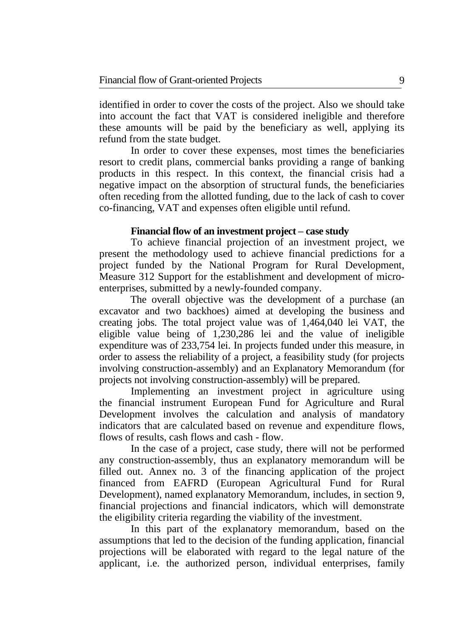identified in order to cover the costs of the project. Also we should take into account the fact that VAT is considered ineligible and therefore these amounts will be paid by the beneficiary as well, applying its refund from the state budget.

In order to cover these expenses, most times the beneficiaries resort to credit plans, commercial banks providing a range of banking products in this respect. In this context, the financial crisis had a negative impact on the absorption of structural funds, the beneficiaries often receding from the allotted funding, due to the lack of cash to cover co-financing, VAT and expenses often eligible until refund.

## **Financial flow of an investment project – case study**

To achieve financial projection of an investment project, we present the methodology used to achieve financial predictions for a project funded by the National Program for Rural Development, Measure 312 Support for the establishment and development of microenterprises, submitted by a newly-founded company.

The overall objective was the development of a purchase (an excavator and two backhoes) aimed at developing the business and creating jobs. The total project value was of 1,464,040 lei VAT, the eligible value being of 1,230,286 lei and the value of ineligible expenditure was of 233,754 lei. In projects funded under this measure, in order to assess the reliability of a project, a feasibility study (for projects involving construction-assembly) and an Explanatory Memorandum (for projects not involving construction-assembly) will be prepared.

Implementing an investment project in agriculture using the financial instrument European Fund for Agriculture and Rural Development involves the calculation and analysis of mandatory indicators that are calculated based on revenue and expenditure flows, flows of results, cash flows and cash - flow.

In the case of a project, case study, there will not be performed any construction-assembly, thus an explanatory memorandum will be filled out. Annex no. 3 of the financing application of the project financed from EAFRD (European Agricultural Fund for Rural Development), named explanatory Memorandum, includes, in section 9, financial projections and financial indicators, which will demonstrate the eligibility criteria regarding the viability of the investment.

In this part of the explanatory memorandum, based on the assumptions that led to the decision of the funding application, financial projections will be elaborated with regard to the legal nature of the applicant, i.e. the authorized person, individual enterprises, family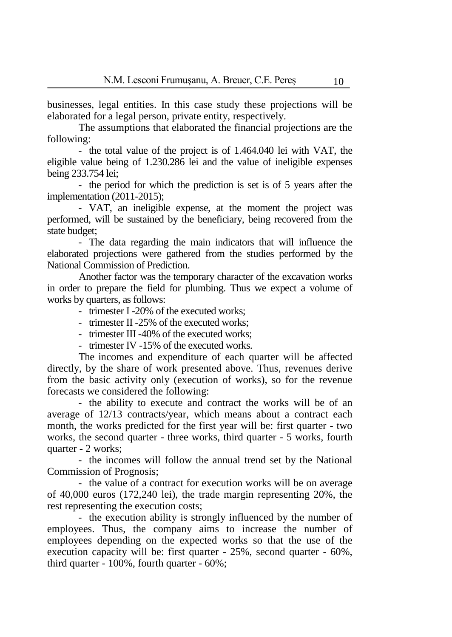businesses, legal entities. In this case study these projections will be elaborated for a legal person, private entity, respectively.

The assumptions that elaborated the financial projections are the following:

- the total value of the project is of 1.464.040 lei with VAT, the eligible value being of 1.230.286 lei and the value of ineligible expenses being 233.754 lei;

- the period for which the prediction is set is of 5 years after the implementation (2011-2015);

- VAT, an ineligible expense, at the moment the project was performed, will be sustained by the beneficiary, being recovered from the state budget;

- The data regarding the main indicators that will influence the elaborated projections were gathered from the studies performed by the National Commission of Prediction.

Another factor was the temporary character of the excavation works in order to prepare the field for plumbing. Thus we expect a volume of works by quarters, as follows:

- trimester I -20% of the executed works;

- trimester II -25% of the executed works;
- trimester III -40% of the executed works:
- trimester IV -15% of the executed works.

The incomes and expenditure of each quarter will be affected directly, by the share of work presented above. Thus, revenues derive from the basic activity only (execution of works), so for the revenue forecasts we considered the following:

- the ability to execute and contract the works will be of an average of 12/13 contracts/year, which means about a contract each month, the works predicted for the first year will be: first quarter - two works, the second quarter - three works, third quarter - 5 works, fourth quarter - 2 works;

- the incomes will follow the annual trend set by the National Commission of Prognosis;

- the value of a contract for execution works will be on average of 40,000 euros (172,240 lei), the trade margin representing 20%, the rest representing the execution costs;

- the execution ability is strongly influenced by the number of employees. Thus, the company aims to increase the number of employees depending on the expected works so that the use of the execution capacity will be: first quarter - 25%, second quarter - 60%, third quarter - 100%, fourth quarter - 60%;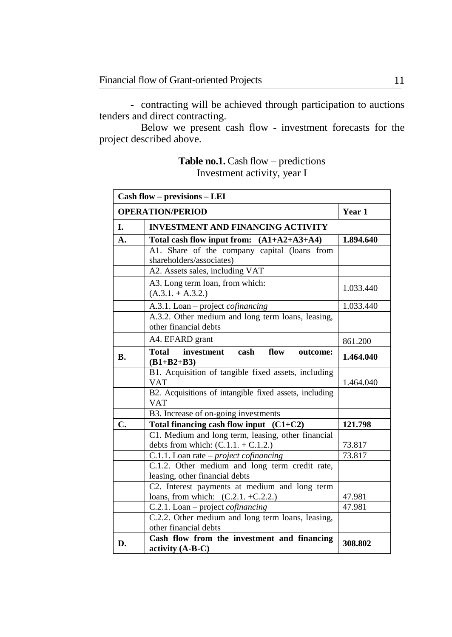- contracting will be achieved through participation to auctions tenders and direct contracting.

Below we present cash flow - investment forecasts for the project described above.

# **Table no.1.** Cash flow – predictions Investment activity, year I

|           | Cash flow - previsions - LEI                                                                |           |  |  |
|-----------|---------------------------------------------------------------------------------------------|-----------|--|--|
|           | <b>OPERATION/PERIOD</b>                                                                     | Year 1    |  |  |
| L.        | <b>INVESTMENT AND FINANCING ACTIVITY</b>                                                    |           |  |  |
| А.        | Total cash flow input from: $(A1+A2+A3+A4)$                                                 | 1.894.640 |  |  |
|           | A1. Share of the company capital (loans from<br>shareholders/associates)                    |           |  |  |
|           | A2. Assets sales, including VAT                                                             |           |  |  |
|           | A3. Long term loan, from which:<br>$(A.3.1. + A.3.2.)$                                      | 1.033.440 |  |  |
|           | A.3.1. Loan - project cofinancing                                                           |           |  |  |
|           | A.3.2. Other medium and long term loans, leasing,<br>other financial debts                  |           |  |  |
|           | A4. EFARD grant                                                                             | 861.200   |  |  |
| <b>B.</b> | investment<br>Total<br>cash<br>flow<br>outcome:<br>$(B1+B2+B3)$                             | 1.464.040 |  |  |
|           | B1. Acquisition of tangible fixed assets, including<br><b>VAT</b>                           | 1.464.040 |  |  |
|           | B2. Acquisitions of intangible fixed assets, including<br><b>VAT</b>                        |           |  |  |
|           | B3. Increase of on-going investments                                                        |           |  |  |
| C.        | Total financing cash flow input $(C1+C2)$                                                   | 121.798   |  |  |
|           | C1. Medium and long term, leasing, other financial<br>debts from which: $(C.1.1. + C.1.2.)$ | 73.817    |  |  |
|           | C.1.1. Loan rate $-project$ cofinancing                                                     | 73.817    |  |  |
|           | C.1.2. Other medium and long term credit rate,<br>leasing, other financial debts            |           |  |  |
|           | C2. Interest payments at medium and long term<br>loans, from which: $(C.2.1. +C.2.2.)$      | 47.981    |  |  |
|           | C.2.1. Loan – project cofinancing                                                           | 47.981    |  |  |
|           | C.2.2. Other medium and long term loans, leasing,<br>other financial debts                  |           |  |  |
| D.        | Cash flow from the investment and financing<br>activity (A-B-C)                             | 308.802   |  |  |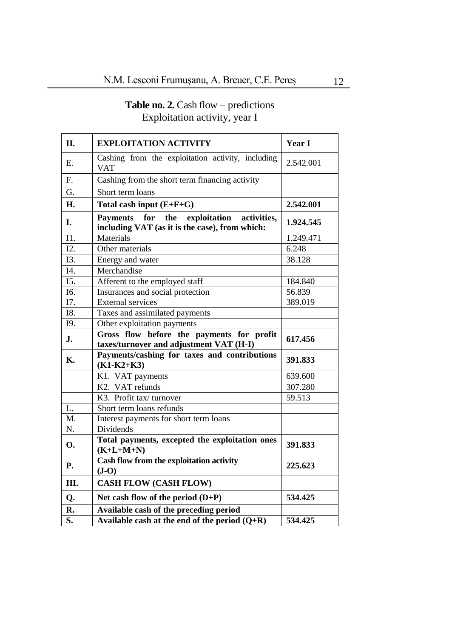## **Table no. 2.** Cash flow – predictions Exploitation activity, year I

| П.                | <b>EXPLOITATION ACTIVITY</b>                                                                | Year I    |  |  |
|-------------------|---------------------------------------------------------------------------------------------|-----------|--|--|
| Ε.                | Cashing from the exploitation activity, including<br><b>VAT</b>                             | 2.542.001 |  |  |
| F.                | Cashing from the short term financing activity                                              |           |  |  |
| G.                | Short term loans                                                                            |           |  |  |
| H.                | Total cash input $(E+F+G)$                                                                  | 2.542.001 |  |  |
| I.                | Payments for the exploitation activities,<br>including VAT (as it is the case), from which: | 1.924.545 |  |  |
| I1.               | Materials                                                                                   | 1.249.471 |  |  |
| I2.               | Other materials                                                                             | 6.248     |  |  |
| I3.               | Energy and water                                                                            | 38.128    |  |  |
| I4.               | Merchandise                                                                                 |           |  |  |
| I5.               | Afferent to the employed staff                                                              | 184.840   |  |  |
| $\overline{16}$ . | Insurances and social protection                                                            | 56.839    |  |  |
| I7.               | <b>External services</b>                                                                    | 389.019   |  |  |
| I8.               | Taxes and assimilated payments                                                              |           |  |  |
| I9.               | Other exploitation payments                                                                 |           |  |  |
| J.                | Gross flow before the payments for profit<br>taxes/turnover and adjustment VAT (H-I)        | 617.456   |  |  |
| <b>K.</b>         | Payments/cashing for taxes and contributions<br>$(K1-K2+K3)$                                | 391.833   |  |  |
|                   | K1. VAT payments                                                                            | 639.600   |  |  |
|                   | K2. VAT refunds                                                                             | 307.280   |  |  |
|                   | K3. Profit tax/turnover                                                                     | 59.513    |  |  |
| L.                | Short term loans refunds                                                                    |           |  |  |
| M.                | Interest payments for short term loans                                                      |           |  |  |
| N.                | Dividends                                                                                   |           |  |  |
| <b>O.</b>         | Total payments, excepted the exploitation ones<br>$(K+L+M+N)$                               | 391.833   |  |  |
| P.                | Cash flow from the exploitation activity<br>$(J-O)$                                         | 225.623   |  |  |
| Ш.                | <b>CASH FLOW (CASH FLOW)</b>                                                                |           |  |  |
| Q.                | Net cash flow of the period $(D+P)$                                                         | 534.425   |  |  |
| R.                | Available cash of the preceding period                                                      |           |  |  |
| S.                | Available cash at the end of the period $(Q+R)$                                             | 534.425   |  |  |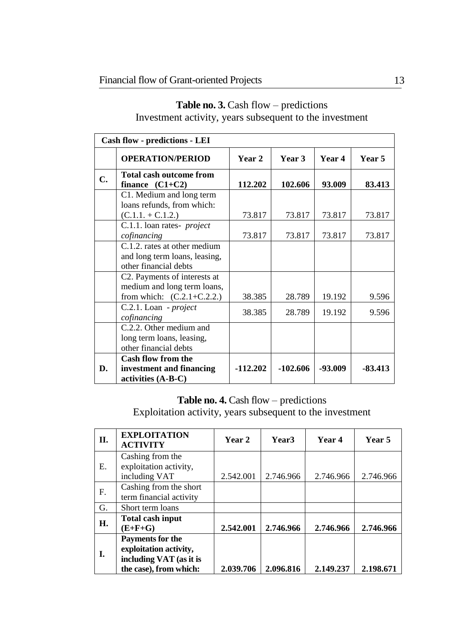| Cash flow - predictions - LEI |                                                                                                            |            |            |         |               |
|-------------------------------|------------------------------------------------------------------------------------------------------------|------------|------------|---------|---------------|
|                               | <b>OPERATION/PERIOD</b>                                                                                    | Year 2     | Year 3     | Year 4  | <b>Year 5</b> |
| C.                            | Total cash outcome from<br>finance $(C1+C2)$                                                               | 112.202    | 102.606    | 93.009  | 83.413        |
|                               | C1. Medium and long term<br>loans refunds, from which:<br>$(C.1.1 + C.1.2.)$                               | 73.817     | 73.817     | 73.817  | 73.817        |
|                               | C.1.1. loan rates- <i>project</i><br>cofinancing                                                           | 73.817     | 73.817     | 73.817  | 73.817        |
|                               | C.1.2. rates at other medium<br>and long term loans, leasing,<br>other financial debts                     |            |            |         |               |
|                               | C <sub>2</sub> . Payments of interests at<br>medium and long term loans,<br>from which: $(C.2.1 + C.2.2.)$ | 38.385     | 28.789     | 19.192  | 9.596         |
|                               | C.2.1. Loan - project<br>cofinancing                                                                       | 38.385     | 28.789     | 19.192  | 9.596         |
|                               | C.2.2. Other medium and<br>long term loans, leasing,<br>other financial debts                              |            |            |         |               |
| D.                            | <b>Cash flow from the</b><br>investment and financing<br>activities (A-B-C)                                | $-112.202$ | $-102.606$ | -93.009 | $-83.413$     |

# **Table no. 3.** Cash flow – predictions Investment activity, years subsequent to the investment

# **Table no. 4.** Cash flow – predictions

Exploitation activity, years subsequent to the investment

| П. | <b>EXPLOITATION</b><br><b>ACTIVITY</b>                                                                 | Year 2    | Year <sub>3</sub> | Year 4    | Year 5    |
|----|--------------------------------------------------------------------------------------------------------|-----------|-------------------|-----------|-----------|
| Е. | Cashing from the<br>exploitation activity,<br>including VAT                                            | 2.542.001 | 2.746.966         | 2.746.966 | 2.746.966 |
| F. | Cashing from the short<br>term financial activity                                                      |           |                   |           |           |
| G. | Short term loans                                                                                       |           |                   |           |           |
| Н. | Total cash input<br>(E+F+G)                                                                            | 2.542.001 | 2.746.966         | 2.746.966 | 2.746.966 |
| I. | <b>Payments for the</b><br>exploitation activity,<br>including VAT (as it is<br>the case), from which: | 2.039.706 | 2.096.816         | 2.149.237 | 2.198.671 |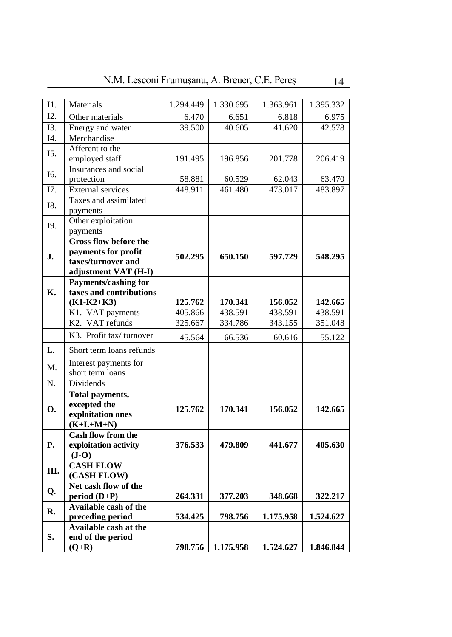| Ι1.               | Materials                                 | 1.294.449 | 1.330.695 | 1.363.961 | 1.395.332 |
|-------------------|-------------------------------------------|-----------|-----------|-----------|-----------|
| I2.               | Other materials                           | 6.470     | 6.651     | 6.818     | 6.975     |
| I3.               | Energy and water                          | 39.500    | 40.605    | 41.620    | 42.578    |
| $\overline{14}$ . | Merchandise                               |           |           |           |           |
| I5.               | Afferent to the                           |           |           |           |           |
|                   | employed staff                            | 191.495   | 196.856   | 201.778   | 206.419   |
| I6.               | Insurances and social                     |           |           |           |           |
|                   | protection                                | 58.881    | 60.529    | 62.043    | 63.470    |
| I7.               | <b>External services</b>                  | 448.911   | 461.480   | 473.017   | 483.897   |
| I8.               | Taxes and assimilated                     |           |           |           |           |
|                   | payments                                  |           |           |           |           |
| I9.               | Other exploitation                        |           |           |           |           |
|                   | payments                                  |           |           |           |           |
|                   | <b>Gross flow before the</b>              |           |           |           |           |
| J.                | payments for profit<br>taxes/turnover and | 502.295   | 650.150   | 597.729   | 548.295   |
|                   | adjustment VAT (H-I)                      |           |           |           |           |
|                   | <b>Payments/cashing for</b>               |           |           |           |           |
| К.                | taxes and contributions                   |           |           |           |           |
|                   | $(K1-K2+K3)$                              | 125.762   | 170.341   | 156.052   | 142.665   |
|                   | K1. VAT payments                          | 405.866   | 438.591   | 438.591   | 438.591   |
|                   | K2. VAT refunds                           | 325.667   | 334.786   | 343.155   | 351.048   |
|                   | K3. Profit tax/turnover                   | 45.564    | 66.536    | 60.616    | 55.122    |
| L.                | Short term loans refunds                  |           |           |           |           |
|                   | Interest payments for                     |           |           |           |           |
| M.                | short term loans                          |           |           |           |           |
| N.                | Dividends                                 |           |           |           |           |
|                   | Total payments,                           |           |           |           |           |
| О.                | excepted the                              | 125.762   | 170.341   | 156.052   | 142.665   |
|                   | exploitation ones                         |           |           |           |           |
|                   | $(K+L+M+N)$                               |           |           |           |           |
|                   | <b>Cash flow from the</b>                 |           |           |           |           |
| Р.                | exploitation activity<br>$(J-O)$          | 376.533   | 479.809   | 441.677   | 405.630   |
|                   | <b>CASH FLOW</b>                          |           |           |           |           |
| Ш.                | (CASH FLOW)                               |           |           |           |           |
|                   | Net cash flow of the                      |           |           |           |           |
| Q.                | period (D+P)                              | 264.331   | 377.203   | 348.668   | 322.217   |
| R.                | Available cash of the                     |           |           |           |           |
|                   | preceding period                          | 534.425   | 798.756   | 1.175.958 | 1.524.627 |
| S.                | Available cash at the                     |           |           |           |           |
|                   | end of the period                         |           |           |           |           |
|                   | $(Q+R)$                                   | 798.756   | 1.175.958 | 1.524.627 | 1.846.844 |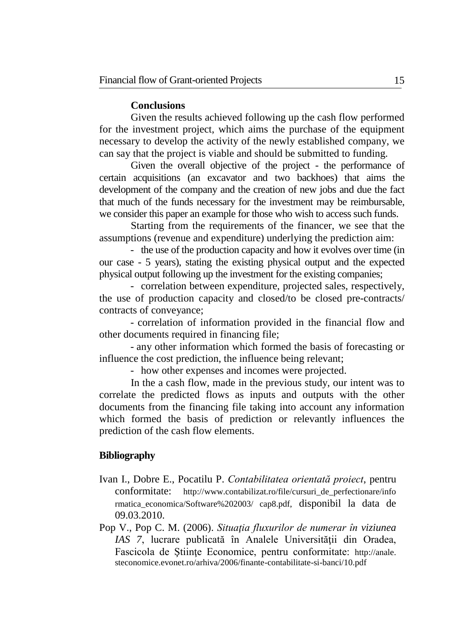## **Conclusions**

Given the results achieved following up the cash flow performed for the investment project, which aims the purchase of the equipment necessary to develop the activity of the newly established company, we can say that the project is viable and should be submitted to funding.

Given the overall objective of the project - the performance of certain acquisitions (an excavator and two backhoes) that aims the development of the company and the creation of new jobs and due the fact that much of the funds necessary for the investment may be reimbursable, we consider this paper an example for those who wish to access such funds.

Starting from the requirements of the financer, we see that the assumptions (revenue and expenditure) underlying the prediction aim:

- the use of the production capacity and how it evolves over time (in our case - 5 years), stating the existing physical output and the expected physical output following up the investment for the existing companies;

- correlation between expenditure, projected sales, respectively, the use of production capacity and closed/to be closed pre-contracts/ contracts of conveyance;

- correlation of information provided in the financial flow and other documents required in financing file;

- any other information which formed the basis of forecasting or influence the cost prediction, the influence being relevant;

- how other expenses and incomes were projected.

In the a cash flow, made in the previous study, our intent was to correlate the predicted flows as inputs and outputs with the other documents from the financing file taking into account any information which formed the basis of prediction or relevantly influences the prediction of the cash flow elements.

### **Bibliography**

- Ivan I., Dobre E., Pocatilu P. *Contabilitatea orientată proiect*, pentru conformitate: http://www.contabilizat.ro/file/cursuri\_de\_perfectionare/info rmatica\_economica/Software%202003/ cap8.pdf, disponibil la data de 09.03.2010.
- Pop V., Pop C. M. (2006). *Situaţia fluxurilor de numerar în viziunea IAS 7*, lucrare publicată în Analele Universităţii din Oradea, Fascicola de Ştiinţe Economice, pentru conformitate: http://anale. steconomice.evonet.ro/arhiva/2006/finante-contabilitate-si-banci/10.pdf